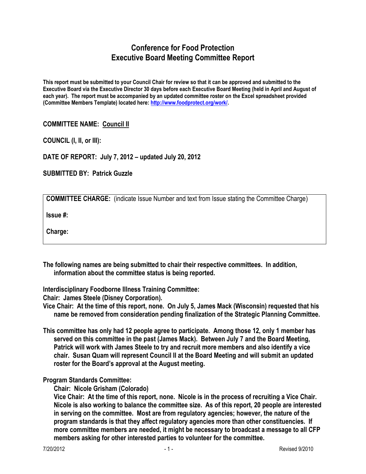## **Conference for Food Protection Executive Board Meeting Committee Report**

**This report must be submitted to your Council Chair for review so that it can be approved and submitted to the Executive Board via the Executive Director 30 days before each Executive Board Meeting (held in April and August of each year). The report must be accompanied by an updated committee roster on the Excel spreadsheet provided (Committee Members Template) located here: [http://www.foodprotect.org/work/.](http://www.foodprotect.org/work/)**

## **COMMITTEE NAME: Council II**

**COUNCIL (I, II, or III):** 

**DATE OF REPORT: July 7, 2012 – updated July 20, 2012**

**SUBMITTED BY: Patrick Guzzle**

| <b>COMMITTEE CHARGE:</b> (indicate Issue Number and text from Issue stating the Committee Charge) |  |  |  |  |  |  |
|---------------------------------------------------------------------------------------------------|--|--|--|--|--|--|
|---------------------------------------------------------------------------------------------------|--|--|--|--|--|--|

**Issue #:** 

**Charge:**

**The following names are being submitted to chair their respective committees. In addition, information about the committee status is being reported.**

**Interdisciplinary Foodborne Illness Training Committee:**

**Chair: James Steele (Disney Corporation).** 

**Vice Chair: At the time of this report, none. On July 5, James Mack (Wisconsin) requested that his name be removed from consideration pending finalization of the Strategic Planning Committee.** 

**This committee has only had 12 people agree to participate. Among those 12, only 1 member has served on this committee in the past (James Mack). Between July 7 and the Board Meeting, Patrick will work with James Steele to try and recruit more members and also identify a vice chair. Susan Quam will represent Council II at the Board Meeting and will submit an updated roster for the Board's approval at the August meeting.** 

## **Program Standards Committee:**

**Chair: Nicole Grisham (Colorado)**

**Vice Chair: At the time of this report, none. Nicole is in the process of recruiting a Vice Chair. Nicole is also working to balance the committee size. As of this report, 20 people are interested in serving on the committee. Most are from regulatory agencies; however, the nature of the program standards is that they affect regulatory agencies more than other constituencies. If more committee members are needed, it might be necessary to broadcast a message to all CFP members asking for other interested parties to volunteer for the committee.**